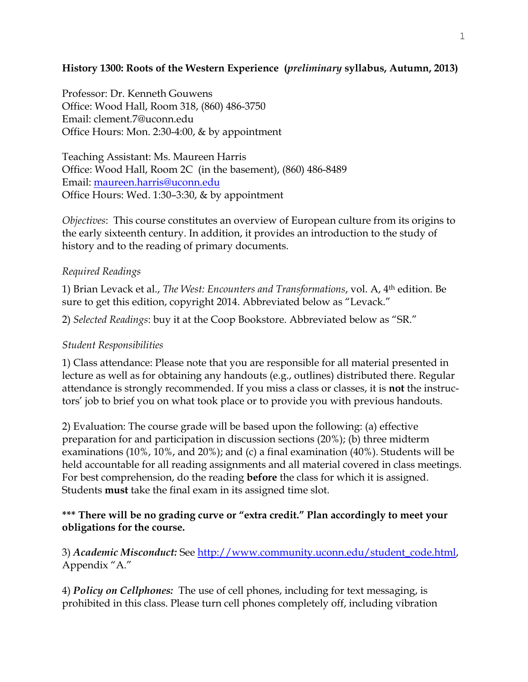## **History 1300: Roots of the Western Experience (***preliminary* **syllabus, Autumn, 2013)**

Professor: Dr. Kenneth Gouwens Office: Wood Hall, Room 318, (860) 486-3750 Email: clement.7@uconn.edu Office Hours: Mon. 2:30-4:00, & by appointment

Teaching Assistant: Ms. Maureen Harris Office: Wood Hall, Room 2C (in the basement), (860) 486-8489 Email: [maureen.harris@uconn.edu](mailto:maureen.harris@uconn.edu) Office Hours: Wed. 1:30–3:30, & by appointment

*Objectives*: This course constitutes an overview of European culture from its origins to the early sixteenth century. In addition, it provides an introduction to the study of history and to the reading of primary documents.

## *Required Readings*

1) Brian Levack et al., *The West: Encounters and Transformations*, vol. A, 4th edition. Be sure to get this edition, copyright 2014. Abbreviated below as "Levack."

2) *Selected Readings*: buy it at the Coop Bookstore. Abbreviated below as "SR."

## *Student Responsibilities*

1) Class attendance: Please note that you are responsible for all material presented in lecture as well as for obtaining any handouts (e.g., outlines) distributed there. Regular attendance is strongly recommended. If you miss a class or classes, it is **not** the instructors' job to brief you on what took place or to provide you with previous handouts.

2) Evaluation: The course grade will be based upon the following: (a) effective preparation for and participation in discussion sections (20%); (b) three midterm examinations (10%, 10%, and 20%); and (c) a final examination (40%). Students will be held accountable for all reading assignments and all material covered in class meetings. For best comprehension, do the reading **before** the class for which it is assigned. Students **must** take the final exam in its assigned time slot.

## **\*\*\* There will be no grading curve or "extra credit." Plan accordingly to meet your obligations for the course.**

3) *Academic Misconduct:* See [http://www.community.uconn.edu/student\\_code.html,](http://www.community.uconn.edu/student_code.html) Appendix "A."

4) *Policy on Cellphones:* The use of cell phones, including for text messaging, is prohibited in this class. Please turn cell phones completely off, including vibration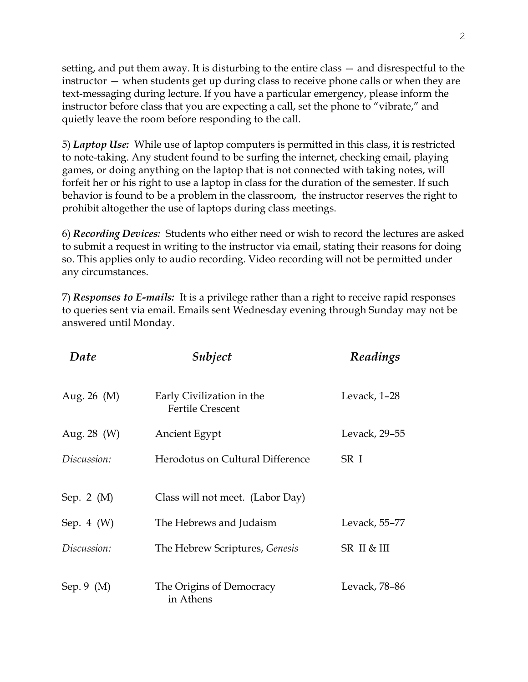setting, and put them away. It is disturbing to the entire class — and disrespectful to the instructor — when students get up during class to receive phone calls or when they are text-messaging during lecture. If you have a particular emergency, please inform the instructor before class that you are expecting a call, set the phone to "vibrate," and quietly leave the room before responding to the call.

5) *Laptop Use:* While use of laptop computers is permitted in this class, it is restricted to note-taking. Any student found to be surfing the internet, checking email, playing games, or doing anything on the laptop that is not connected with taking notes, will forfeit her or his right to use a laptop in class for the duration of the semester. If such behavior is found to be a problem in the classroom, the instructor reserves the right to prohibit altogether the use of laptops during class meetings.

6) *Recording Devices:* Students who either need or wish to record the lectures are asked to submit a request in writing to the instructor via email, stating their reasons for doing so. This applies only to audio recording. Video recording will not be permitted under any circumstances.

7) *Responses to E-mails:* It is a privilege rather than a right to receive rapid responses to queries sent via email. Emails sent Wednesday evening through Sunday may not be answered until Monday.

| Date             | Subject                                              | Readings      |
|------------------|------------------------------------------------------|---------------|
| Aug. 26 $(M)$    | Early Civilization in the<br><b>Fertile Crescent</b> | Levack, 1-28  |
| Aug. $28 \, (W)$ | Ancient Egypt                                        | Levack, 29-55 |
| Discussion:      | Herodotus on Cultural Difference                     | SR I          |
| Sep. 2 $(M)$     | Class will not meet. (Labor Day)                     |               |
| Sep. $4 \ (W)$   | The Hebrews and Judaism                              | Levack, 55-77 |
| Discussion:      | The Hebrew Scriptures, Genesis                       | SR II & III   |
| Sep. 9 $(M)$     | The Origins of Democracy<br>in Athens                | Levack, 78–86 |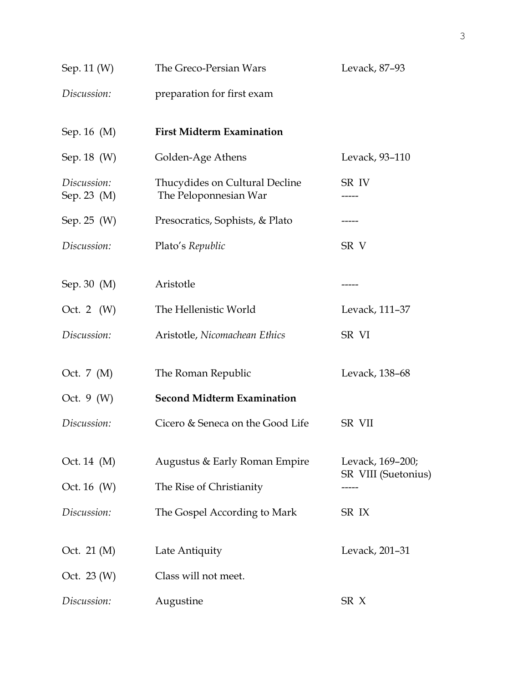| Sep. 11 (W)                | The Greco-Persian Wars                                  | Levack, 87-93       |
|----------------------------|---------------------------------------------------------|---------------------|
| Discussion:                | preparation for first exam                              |                     |
| Sep. 16 (M)                | <b>First Midterm Examination</b>                        |                     |
| Sep. 18 (W)                | Golden-Age Athens                                       | Levack, 93-110      |
| Discussion:<br>Sep. 23 (M) | Thucydides on Cultural Decline<br>The Peloponnesian War | SR IV               |
| Sep. 25 (W)                | Presocratics, Sophists, & Plato                         |                     |
| Discussion:                | Plato's Republic                                        | SR V                |
| Sep. 30 (M)                | Aristotle                                               |                     |
| Oct. 2 $(W)$               | The Hellenistic World                                   | Levack, 111-37      |
| Discussion:                | Aristotle, Nicomachean Ethics                           | SR VI               |
| Oct. 7 (M)                 | The Roman Republic                                      | Levack, 138-68      |
| Oct. $9(W)$                | <b>Second Midterm Examination</b>                       |                     |
| Discussion:                | Cicero & Seneca on the Good Life                        | <b>SR VII</b>       |
| Oct. 14 (M)                | Augustus & Early Roman Empire                           | Levack, 169-200;    |
| Oct. 16 (W)                | The Rise of Christianity                                | SR VIII (Suetonius) |
| Discussion:                | The Gospel According to Mark                            | SR IX               |
| Oct. 21 (M)                | Late Antiquity                                          | Levack, 201-31      |
| Oct. 23 (W)                | Class will not meet.                                    |                     |
| Discussion:                | Augustine                                               | SR X                |